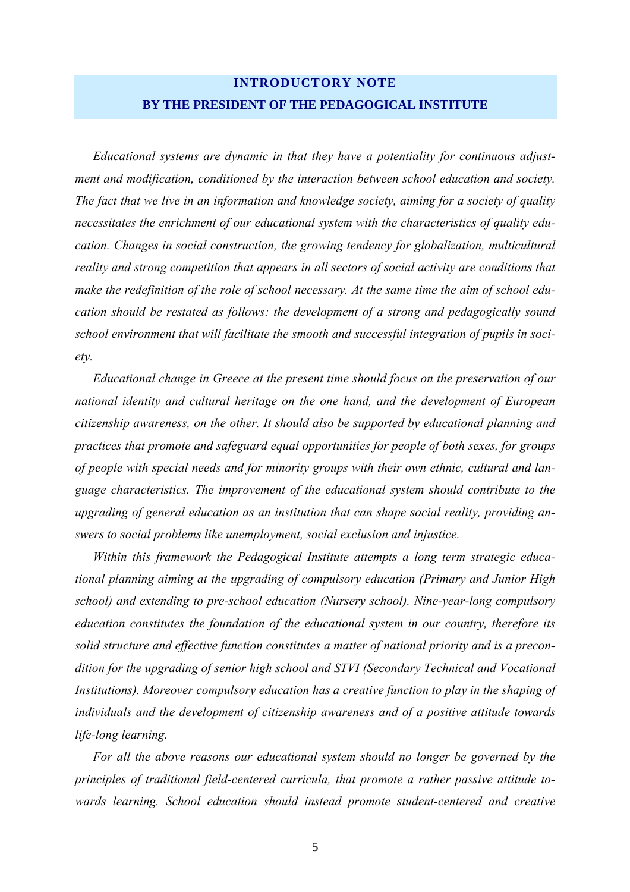## **INTRODUCTORY NOTE BY THE PRESIDENT OF THE PEDAGOGICAL INSTITUTE**

*Educational systems are dynamic in that they have a potentiality for continuous adjustment and modification, conditioned by the interaction between school education and society. The fact that we live in an information and knowledge society, aiming for a society of quality necessitates the enrichment of our educational system with the characteristics of quality education. Changes in social construction, the growing tendency for globalization, multicultural reality and strong competition that appears in all sectors of social activity are conditions that make the redefinition of the role of school necessary. At the same time the aim of school education should be restated as follows: the development of a strong and pedagogically sound school environment that will facilitate the smooth and successful integration of pupils in society.* 

*Educational change in Greece at the present time should focus on the preservation of our national identity and cultural heritage on the one hand, and the development of European citizenship awareness, on the other. It should also be supported by educational planning and practices that promote and safeguard equal opportunities for people of both sexes, for groups of people with special needs and for minority groups with their own ethnic, cultural and language characteristics. The improvement of the educational system should contribute to the upgrading of general education as an institution that can shape social reality, providing answers to social problems like unemployment, social exclusion and injustice.* 

*Within this framework the Pedagogical Institute attempts a long term strategic educational planning aiming at the upgrading of compulsory education (Primary and Junior High school) and extending to pre-school education (Nursery school). Nine-year-long compulsory education constitutes the foundation of the educational system in our country, therefore its solid structure and effective function constitutes a matter of national priority and is a precondition for the upgrading of senior high school and STVI (Secondary Technical and Vocational Institutions). Moreover compulsory education has a creative function to play in the shaping of individuals and the development of citizenship awareness and of a positive attitude towards life-long learning.* 

*For all the above reasons our educational system should no longer be governed by the principles of traditional field-centered curricula, that promote a rather passive attitude towards learning. School education should instead promote student-centered and creative*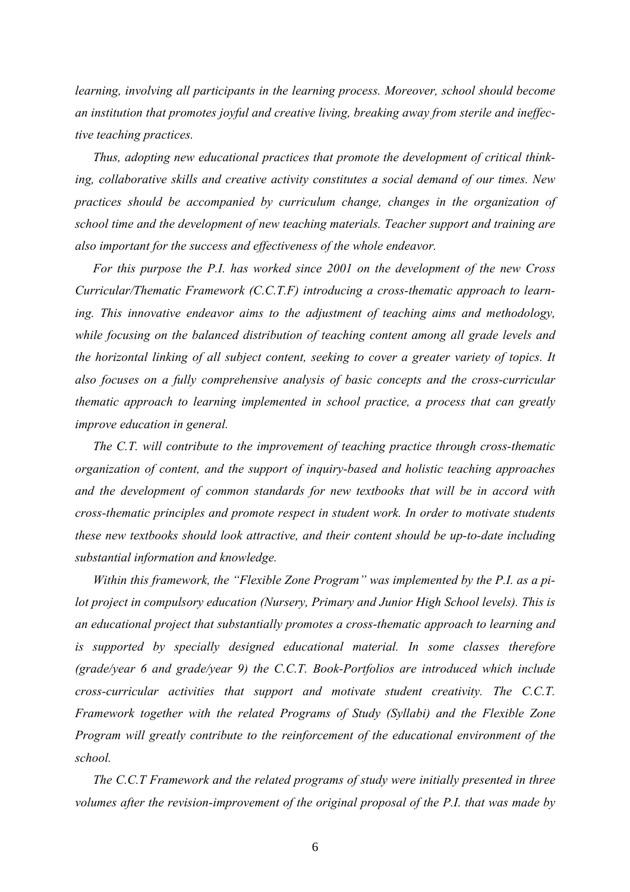*learning, involving all participants in the learning process. Moreover, school should become an institution that promotes joyful and creative living, breaking away from sterile and ineffective teaching practices.* 

*Thus, adopting new educational practices that promote the development of critical thinking, collaborative skills and creative activity constitutes a social demand of our times. New practices should be accompanied by curriculum change, changes in the organization of school time and the development of new teaching materials. Teacher support and training are also important for the success and effectiveness of the whole endeavor.* 

*For this purpose the P.I. has worked since 2001 on the development of the new Cross Curricular/Thematic Framework (C.C.T.F) introducing a cross-thematic approach to learning. This innovative endeavor aims to the adjustment of teaching aims and methodology, while focusing on the balanced distribution of teaching content among all grade levels and the horizontal linking of all subject content, seeking to cover a greater variety of topics. It also focuses on a fully comprehensive analysis of basic concepts and the cross-curricular thematic approach to learning implemented in school practice, a process that can greatly improve education in general.* 

*The C.T. will contribute to the improvement of teaching practice through cross-thematic organization of content, and the support of inquiry-based and holistic teaching approaches and the development of common standards for new textbooks that will be in accord with cross-thematic principles and promote respect in student work. In order to motivate students these new textbooks should look attractive, and their content should be up-to-date including substantial information and knowledge.* 

*Within this framework, the "Flexible Zone Program" was implemented by the P.I. as a pilot project in compulsory education (Nursery, Primary and Junior High School levels). This is an educational project that substantially promotes a cross-thematic approach to learning and is supported by specially designed educational material. In some classes therefore (grade/year 6 and grade/year 9) the C.C.T. Book-Portfolios are introduced which include cross-curricular activities that support and motivate student creativity. The C.C.T. Framework together with the related Programs of Study (Syllabi) and the Flexible Zone Program will greatly contribute to the reinforcement of the educational environment of the school.* 

*The C.C.T Framework and the related programs of study were initially presented in three volumes after the revision-improvement of the original proposal of the P.I. that was made by*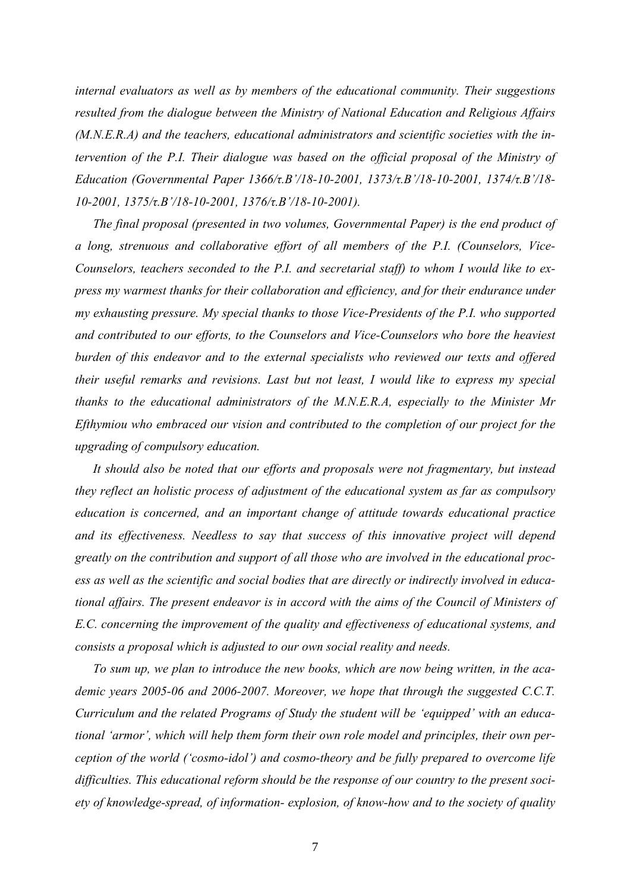*internal evaluators as well as by members of the educational community. Their suggestions resulted from the dialogue between the Ministry of National Education and Religious Affairs (M.N.E.R.A) and the teachers, educational administrators and scientific societies with the intervention of the P.I. Their dialogue was based on the official proposal of the Ministry of Education (Governmental Paper 1366/τ.Βí/18-10-2001, 1373/τ.Βí/18-10-2001, 1374/τ.Βí/18- 10-2001, 1375/τ.Βí/18-10-2001, 1376/τ.Βí/18-10-2001).* 

*The final proposal (presented in two volumes, Governmental Paper) is the end product of a long, strenuous and collaborative effort of all members of the P.I. (Counselors, Vice-Counselors, teachers seconded to the P.I. and secretarial staff) to whom I would like to express my warmest thanks for their collaboration and efficiency, and for their endurance under my exhausting pressure. My special thanks to those Vice-Presidents of the P.I. who supported and contributed to our efforts, to the Counselors and Vice-Counselors who bore the heaviest burden of this endeavor and to the external specialists who reviewed our texts and offered their useful remarks and revisions. Last but not least, I would like to express my special thanks to the educational administrators of the M.N.E.R.A, especially to the Minister Mr Efthymiou who embraced our vision and contributed to the completion of our project for the upgrading of compulsory education.* 

*It should also be noted that our efforts and proposals were not fragmentary, but instead they reflect an holistic process of adjustment of the educational system as far as compulsory education is concerned, and an important change of attitude towards educational practice and its effectiveness. Needless to say that success of this innovative project will depend greatly on the contribution and support of all those who are involved in the educational process as well as the scientific and social bodies that are directly or indirectly involved in educational affairs. The present endeavor is in accord with the aims of the Council of Ministers of E.C. concerning the improvement of the quality and effectiveness of educational systems, and consists a proposal which is adjusted to our own social reality and needs.* 

*To sum up, we plan to introduce the new books, which are now being written, in the academic years 2005-06 and 2006-2007. Moreover, we hope that through the suggested C.C.T.*  Curriculum and the related Programs of Study the student will be 'equipped' with an educational 'armor', which will help them form their own role model and principles, their own per*ception of the world ('cosmo-idol') and cosmo-theory and be fully prepared to overcome life difficulties. This educational reform should be the response of our country to the present society of knowledge-spread, of information- explosion, of know-how and to the society of quality*